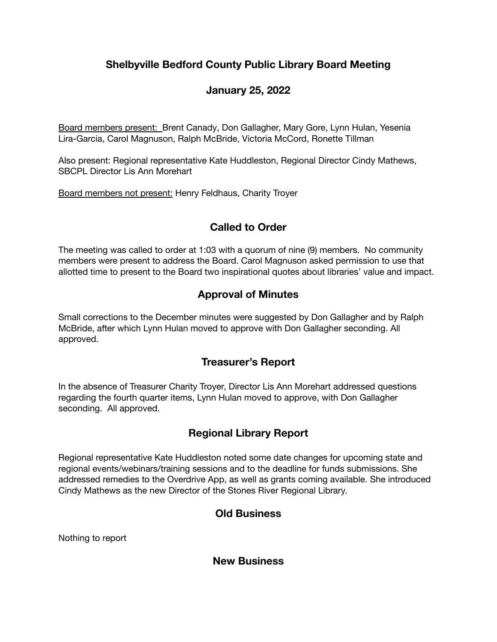# **Shelbyville Bedford County Public Library Board Meeting**

## **January 25, 2022**

Board members present: Brent Canady, Don Gallagher, Mary Gore, Lynn Hulan, Yesenia Lira-Garcia, Carol Magnuson, Ralph McBride, Victoria McCord, Ronette Tillman

Also present: Regional representative Kate Huddleston, Regional Director Cindy Mathews, SBCPL Director Lis Ann Morehart

Board members not present: Henry Feldhaus, Charity Troyer

## **Called to Order**

The meeting was called to order at 1:03 with a quorum of nine (9) members. No community members were present to address the Board. Carol Magnuson asked permission to use that allotted time to present to the Board two inspirational quotes about libraries' value and impact.

### **Approval of Minutes**

Small corrections to the December minutes were suggested by Don Gallagher and by Ralph McBride, after which Lynn Hulan moved to approve with Don Gallagher seconding. All approved.

### **Treasurer's Report**

In the absence of Treasurer Charity Troyer, Director Lis Ann Morehart addressed questions regarding the fourth quarter items, Lynn Hulan moved to approve, with Don Gallagher seconding. All approved.

# **Regional Library Report**

Regional representative Kate Huddleston noted some date changes for upcoming state and regional events/webinars/training sessions and to the deadline for funds submissions. She addressed remedies to the Overdrive App, as well as grants coming available. She introduced Cindy Mathews as the new Director of the Stones River Regional Library.

### **Old Business**

Nothing to report

**New Business**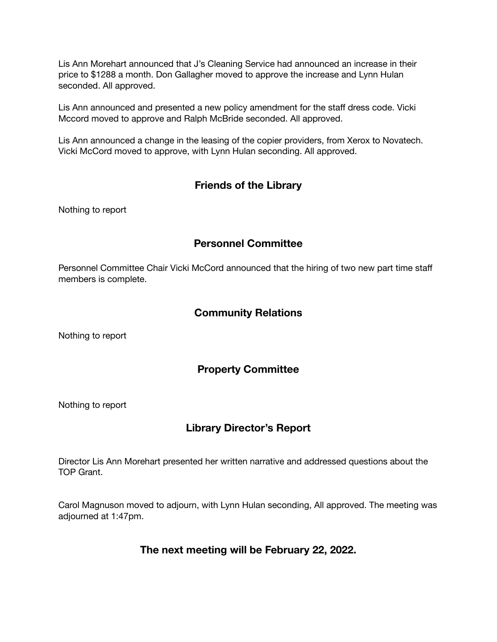Lis Ann Morehart announced that J's Cleaning Service had announced an increase in their price to \$1288 a month. Don Gallagher moved to approve the increase and Lynn Hulan seconded. All approved.

Lis Ann announced and presented a new policy amendment for the staff dress code. Vicki Mccord moved to approve and Ralph McBride seconded. All approved.

Lis Ann announced a change in the leasing of the copier providers, from Xerox to Novatech. Vicki McCord moved to approve, with Lynn Hulan seconding. All approved.

#### **Friends of the Library**

Nothing to report

#### **Personnel Committee**

Personnel Committee Chair Vicki McCord announced that the hiring of two new part time staff members is complete.

#### **Community Relations**

Nothing to report

#### **Property Committee**

Nothing to report

### **Library Director's Report**

Director Lis Ann Morehart presented her written narrative and addressed questions about the TOP Grant.

Carol Magnuson moved to adjourn, with Lynn Hulan seconding, All approved. The meeting was adjourned at 1:47pm.

**The next meeting will be February 22, 2022.**